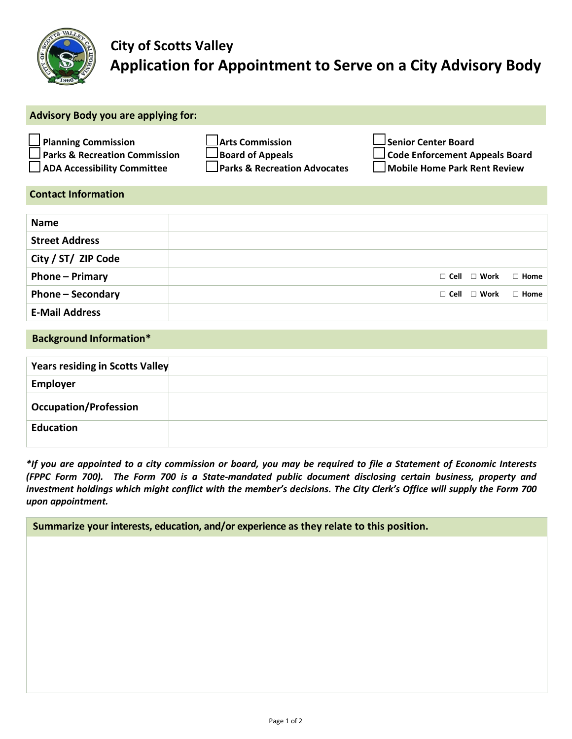

## **City of Scotts Valley Application for Appointment to Serve on a City Advisory Body**

| <b>Advisory Body you are applying for:</b>                                                                   |                                                                                              |                                                                                                              |
|--------------------------------------------------------------------------------------------------------------|----------------------------------------------------------------------------------------------|--------------------------------------------------------------------------------------------------------------|
| <b>Planning Commission</b><br><b>Parks &amp; Recreation Commission</b><br><b>ADA Accessibility Committee</b> | <b>Arts Commission</b><br><b>Board of Appeals</b><br><b>Parks &amp; Recreation Advocates</b> | $\Box$ Senior Center Board<br><b>J Code Enforcement Appeals Board</b><br><b>Nobile Home Park Rent Review</b> |
| <b>Contact Information</b>                                                                                   |                                                                                              |                                                                                                              |
| <b>Name</b>                                                                                                  |                                                                                              |                                                                                                              |
| <b>Street Address</b>                                                                                        |                                                                                              |                                                                                                              |
| City / ST/ ZIP Code                                                                                          |                                                                                              |                                                                                                              |
| Phone - Primary                                                                                              |                                                                                              | $\Box$ Cell<br>$\Box$ Work<br>$\Box$ Home                                                                    |
| <b>Phone - Secondary</b>                                                                                     |                                                                                              | $\Box$ Cell<br>$\Box$ Work<br>$\Box$ Home                                                                    |
| <b>E-Mail Address</b>                                                                                        |                                                                                              |                                                                                                              |
| <b>Background Information*</b>                                                                               |                                                                                              |                                                                                                              |
| <b>Years residing in Scotts Valley</b>                                                                       |                                                                                              |                                                                                                              |
| <b>Employer</b>                                                                                              |                                                                                              |                                                                                                              |
|                                                                                                              |                                                                                              |                                                                                                              |

| <b>Occupation/Profession</b> |                                                                                                               |
|------------------------------|---------------------------------------------------------------------------------------------------------------|
| Education                    |                                                                                                               |
|                              | the common constant of the common states of the collection of the constant of the constant of the constant of |

*\*If you are appointed to a city commission or board, you may be required to file a Statement of Economic Interests (FPPC Form 700). The Form 700 is a State-mandated public document disclosing certain business, property and investment holdings which might conflict with the member's decisions. The City Clerk's Office will supply the Form 700 upon appointment.*

 **Summarize your interests, education, and/or experience as they relate to this position.**